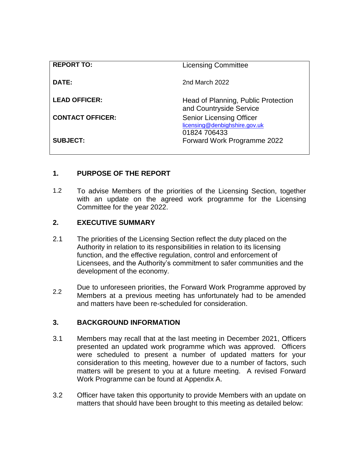| <b>REPORT TO:</b>       | <b>Licensing Committee</b>                                                       |
|-------------------------|----------------------------------------------------------------------------------|
| <b>DATE:</b>            | 2nd March 2022                                                                   |
| <b>LEAD OFFICER:</b>    | Head of Planning, Public Protection<br>and Countryside Service                   |
| <b>CONTACT OFFICER:</b> | <b>Senior Licensing Officer</b><br>licensing@denbighshire.gov.uk<br>01824 706433 |
| <b>SUBJECT:</b>         | Forward Work Programme 2022                                                      |

# **1. PURPOSE OF THE REPORT**

1.2 To advise Members of the priorities of the Licensing Section, together with an update on the agreed work programme for the Licensing Committee for the year 2022.

#### **2. EXECUTIVE SUMMARY**

- 2.1 The priorities of the Licensing Section reflect the duty placed on the Authority in relation to its responsibilities in relation to its licensing function, and the effective regulation, control and enforcement of Licensees, and the Authority's commitment to safer communities and the development of the economy.
- 2.2 Due to unforeseen priorities, the Forward Work Programme approved by Members at a previous meeting has unfortunately had to be amended and matters have been re-scheduled for consideration.

#### **3. BACKGROUND INFORMATION**

- 3.1 Members may recall that at the last meeting in December 2021, Officers presented an updated work programme which was approved. Officers were scheduled to present a number of updated matters for your consideration to this meeting, however due to a number of factors, such matters will be present to you at a future meeting. A revised Forward Work Programme can be found at Appendix A.
- 3.2 Officer have taken this opportunity to provide Members with an update on matters that should have been brought to this meeting as detailed below: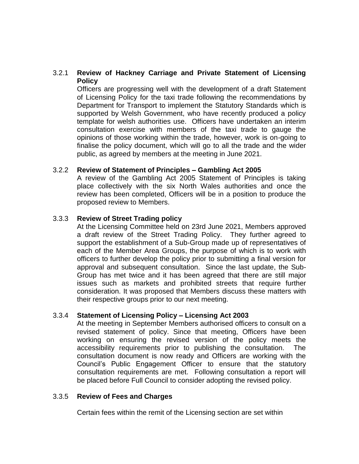### 3.2.1 **Review of Hackney Carriage and Private Statement of Licensing Policy**

Officers are progressing well with the development of a draft Statement of Licensing Policy for the taxi trade following the recommendations by Department for Transport to implement the Statutory Standards which is supported by Welsh Government, who have recently produced a policy template for welsh authorities use. Officers have undertaken an interim consultation exercise with members of the taxi trade to gauge the opinions of those working within the trade, however, work is on-going to finalise the policy document, which will go to all the trade and the wider public, as agreed by members at the meeting in June 2021.

#### 3.2.2 **Review of Statement of Principles – Gambling Act 2005**

A review of the Gambling Act 2005 Statement of Principles is taking place collectively with the six North Wales authorities and once the review has been completed, Officers will be in a position to produce the proposed review to Members.

#### 3.3.3 **Review of Street Trading policy**

At the Licensing Committee held on 23rd June 2021, Members approved a draft review of the Street Trading Policy. They further agreed to support the establishment of a Sub-Group made up of representatives of each of the Member Area Groups, the purpose of which is to work with officers to further develop the policy prior to submitting a final version for approval and subsequent consultation. Since the last update, the Sub-Group has met twice and it has been agreed that there are still major issues such as markets and prohibited streets that require further consideration. It was proposed that Members discuss these matters with their respective groups prior to our next meeting.

#### 3.3.4 **Statement of Licensing Policy – Licensing Act 2003**

At the meeting in September Members authorised officers to consult on a revised statement of policy. Since that meeting, Officers have been working on ensuring the revised version of the policy meets the accessibility requirements prior to publishing the consultation. The consultation document is now ready and Officers are working with the Council's Public Engagement Officer to ensure that the statutory consultation requirements are met. Following consultation a report will be placed before Full Council to consider adopting the revised policy.

## 3.3.5 **Review of Fees and Charges**

Certain fees within the remit of the Licensing section are set within